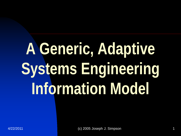## **A Generic, Adaptive Systems Engineering Information Model**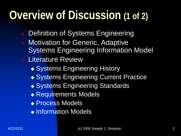#### **Overview of Discussion (1 of 2)**

- Definition of Systems Engineering
- Motivation for Generic, Adaptive Systems Engineering Information Model
- **Literature Review** 
	- ◆ Systems Engineering History
	- ◆ Systems Engineering Current Practice
	- ◆ Systems Engineering Standards
	- ◆ Requirements Models
	- ◆ Process Models
	- Information Models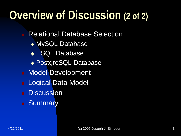#### **Overview of Discussion (2 of 2)**

Relational Database Selection

- MySQL Database
- HSQL Database
- PostgreSQL Database
- **Nodel Development**
- Logical Data Model
- **Discussion**
- **E** Summary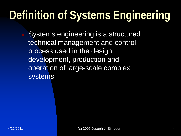### **Definition of Systems Engineering**

 Systems engineering is a structured technical management and control process used in the design, development, production and operation of large-scale complex systems.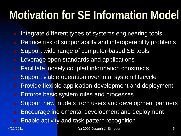#### **Motivation for SE Information Model**

- Integrate different types of systems engineering tools
- Reduce risk of supportability and interoperability problems
- Support wide range of computer-based SE tools
- **Leverage open standards and applications**
- **Facilitate loosely coupled information constructs**
- **Support viable operation over total system lifecycle**
- **Provide flexible application development and deployment**
- **Enforce basic system rules and processes**
- **Support new models from users and development partners**
- **Encourage incremental development and deployment**
- **Enable activity and task pattern recognition**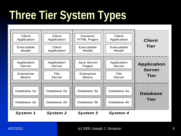### **Three Tier System Types**



4/22/2011 (c) 2005 Joseph J. Simpson 6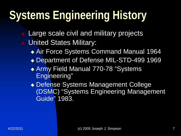### **Systems Engineering History**

 Large scale civil and military projects United States Military:

- Air Force Systems Command Manual 1964
- ◆ Department of Defense MIL-STD-499 1969
- ◆ Army Field Manual 770-78 "Systems Engineering"
- Defense Systems Management College (DSMC) "Systems Engineering Management Guide" 1983.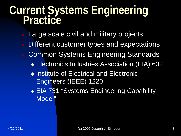## **Current Systems Engineering Practice**

- Large scale civil and military projects
- Different customer types and expectations
- Common Systems Engineering Standards
	- Electronics Industries Association (EIA) 632
	- ◆ Institute of Electrical and Electronic Engineers (IEEE) 1220
	- ◆ EIA 731 "Systems Engineering Capability Model"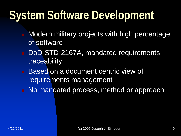#### **System Software Development**

- Modern military projects with high percentage of software
- DoD-STD-2167A, mandated requirements traceability
- **Based on a document centric view of** requirements management
- No mandated process, method or approach.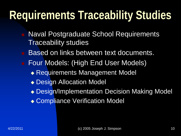### **Requirements Traceability Studies**

- Naval Postgraduate School Requirements Traceability studies
- Based on links between text documents.
- **Four Models: (High End User Models)** 
	- Requirements Management Model
	- ◆ Design Allocation Model
	- Design/Implementation Decision Making Model
	- Compliance Verification Model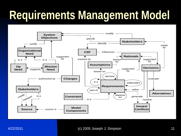#### **Requirements Management Model**

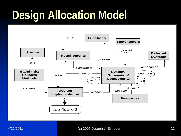#### **Design Allocation Model**

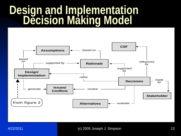## **Design and Implementation Decision Making Model**

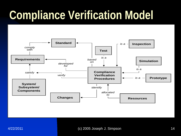#### **Compliance Verification Model**

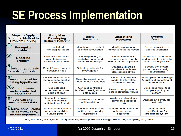#### **SE Process Implementation**

| <b>Steps to Apply</b><br><b>Scientific Method to</b><br><b>Problem Solving</b>             | <b>Early Man</b><br><b>Developing</b><br><b>Cultural Patterns</b>   | <b>Basic</b><br><b>Research</b>                                 | <b>Operations</b><br><b>Research</b>                                      | <b>System</b><br><b>Design</b>                                               |
|--------------------------------------------------------------------------------------------|---------------------------------------------------------------------|-----------------------------------------------------------------|---------------------------------------------------------------------------|------------------------------------------------------------------------------|
| $\bigcirc$<br><b>Recognize</b><br>problem                                                  | Unsatisfied<br><b>Physiological Need</b>                            | Identify gap in body of<br>scientific knowledge                 | Identify operational<br>objective to be achieved                          | Describe mission or<br>use requirements                                      |
| $\large \textcircled{\small 2}$<br><b>Describe</b><br>problem                              | Discover alternative<br>ways to increase<br>satisfaction of need    | Develop theory of<br>probable cause and<br>effect relationships | Define situation &<br>resources which can be<br>used to attain objectives | Define reg'd operation<br>and logistic functions to<br>attain use objectives |
| $\overline{\mathbf{3}}$<br><b>Select hypothesis</b><br>for solving problem                 | Select favored way of<br>satisfying need                            | Select hypothesis for<br>investigation                          | Describe tailorable<br>variables to achieve<br>desired objectives         | Specify the system<br>performance / design<br>requirements                   |
| $\left( 4\right)$<br>Develop model for<br>testing hypothesis                               | Devise implements &<br>techniques to practice<br>favored way        | Describe experimental<br>model to test hypothesis               | Construct statistical<br>model to interrelate<br>variable conditions      | Accomplish detail design<br>& qualification testing of<br>components         |
| $\mathbf{5}$ Conduct tests<br>under controlled<br>conditions                               | Use selected<br>techniques for some<br>period of time               | Conduct controlled<br>lab/field investigation to<br>obtain data | Perform computation to<br>obtain statistical values                       | Build, assemble, test<br>complete prototype<br>system                        |
| $\left( \begin{matrix} 6 \end{matrix} \right)$<br><b>Analyze and</b><br>evaluate test data | Decide if techniques<br>result in tolerable<br>satisfaction of need | Analyze and evaluate<br>collected data                          | Analyze and evaluate<br>summary statistical<br>data                       | Analyze and evaluate<br>test data                                            |
| $\mathcal{I}_{\mathbf{D}}$ erive conclusions<br>to confirm, deny,<br>modify hypothesis     | Transmit techniques to<br>others & establish<br>cultural pattern    | Derive conclusions to<br>confirm, deny, modify<br>hypothesis    | Recommend actions to<br>achieve desired<br>objectives                     | Recommend<br>modifications for<br>production system                          |

\* Chase, Wilton P., Management of System Engineering, Robert E Krieger Publishing Company, Inc., 1974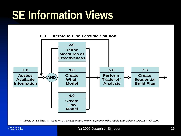#### **SE Information Views**



\* Oliver, D., Kelliher, T., Keegan, J., *Engineering Complex Systems with Models and Objects, McGraw-Hill*, 1997

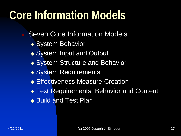#### **Core Information Models**

- Seven Core Information Models
	- ◆ System Behavior
	- ◆ System Input and Output
	- ◆ System Structure and Behavior
	- ◆ System Requirements
	- **Effectiveness Measure Creation**
	- ◆ Text Requirements, Behavior and Content
	- ◆ Build and Test Plan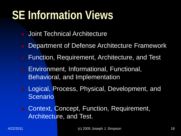#### **SE Information Views**

- Joint Technical Architecture
- Department of Defense Architecture Framework
- Function, Requirement, Architecture, and Test
- **Environment, Informational, Functional,** Behavioral, and Implementation
- Logical, Process, Physical, Development, and Scenario
- Context, Concept, Function, Requirement, Architecture, and Test.

4/22/2011 (c) 2005 Joseph J. Simpson 18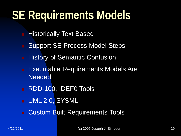#### **SE Requirements Models**

- Historically Text Based
- Support SE Process Model Steps
- History of Semantic Confusion
- Executable Requirements Models Are Needed
- RDD-100, IDEF0 Tools
- UML 2.0, SYSML
- Custom Built Requirements Tools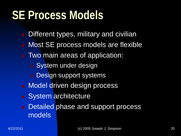#### **SE Process Models**

- Different types, military and civilian
- Most SE process models are flexible
- **Two main areas of application:** 
	- **System under design**
	- Design support systems
- **Nodel driven design process**
- System architecture
- Detailed phase and support process models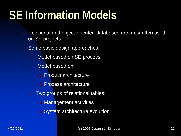#### **SE Information Models**

- Relational and object-oriented databases are most often used on SE projects.
- Some basic design approaches:
	- Model based on SE process
	- **Nodel based on:** 
		- **Product architecture**
		- **Process architecture**
	- **Two groups of relational tables:** 
		- **Management activities**
		- System architecture evolution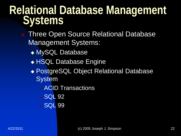# **Relational Database Management Systems**

- Three Open Source Relational Database Management Systems:
	- ◆ MySQL Database
	- **+ HSQL Database Engine**
	- PostgreSQL Object Relational Database **System** 
		- ★ ACID Transactions
		- $\star$  SQL 92
		- $\star$  SQL 99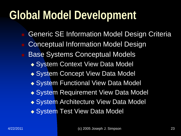#### **Global Model Development**

- Generic SE Information Model Design Criteria Conceptual Information Model Design
- Base Systems Conceptual Models
	- ◆ System Context View Data Model
	- ◆ System Concept View Data Model
	- ◆ System Functional View Data Model
	- ◆ System Requirement View Data Model
	- ◆ System Architecture View Data Model
	- ◆ System Test View Data Model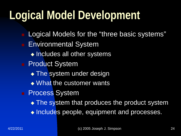#### **Logical Model Development**

 Logical Models for the "three basic systems" **Environmental System**  $\triangleleft$  Includes all other systems **Product System** • The system under design • What the customer wants **Process System** • The system that produces the product system • Includes people, equipment and processes.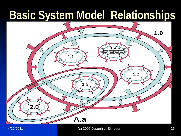#### **Basic System Model Relationships**

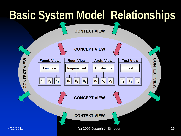#### **Basic System Model Relationships**

**CONTEXT VIEW** 

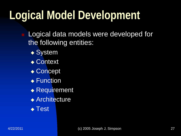#### **Logical Model Development**

- Logical data models were developed for the following entities:
	- ◆ System
	- ◆ Context
	- ◆ Concept
	- ◆ Function
	- ◆ Requirement
	- ◆ Architecture
	- ◆ Test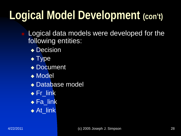### **Logical Model Development (con't)**

 Logical data models were developed for the following entities:

- ◆ Decision
- $\blacktriangleright$  Type
- ◆ Document
- ◆ Model
- Database model
- $\overline{\bullet}$  Fr\_link
- $\bullet$  Fa\_link
- ◆ At\_link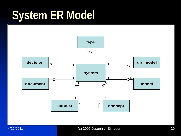#### **System ER Model**

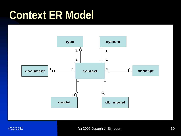#### **Context ER Model**



4/22/2011 (c) 2005 Joseph J. Simpson 30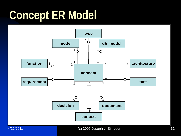#### **Concept ER Model**

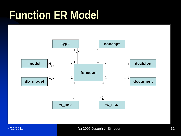#### **Function ER Model**





4/22/2011 (c) 2005 Joseph J. Simpson 32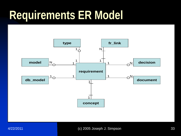#### **Requirements ER Model**

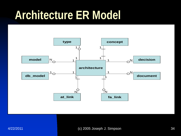#### **Architecture ER Model**

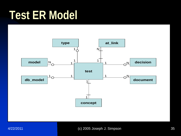#### **Test ER Model**

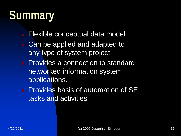#### **Summary**

- Flexible conceptual data model
- Can be applied and adapted to any type of system project
- **Provides a connection to standard** networked information system applications.
- **Provides basis of automation of SE** tasks and activities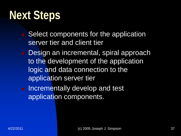#### **Next Steps**

- Select components for the application server tier and client tier
- **Design an incremental, spiral approach** to the development of the application logic and data connection to the application server tier
- **Incrementally develop and test** application components.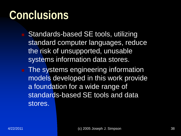#### **Conclusions**

- Standards-based SE tools, utilizing standard computer languages, reduce the risk of unsupported, unusable systems information data stores.
- **The systems engineering information** models developed in this work provide a foundation for a wide range of standards-based SE tools and data stores.